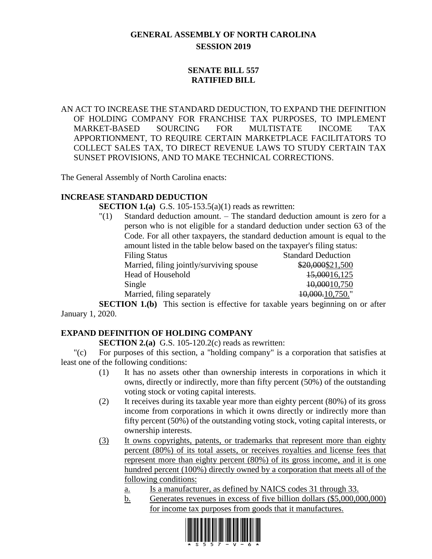# **GENERAL ASSEMBLY OF NORTH CAROLINA SESSION 2019**

# **SENATE BILL 557 RATIFIED BILL**

AN ACT TO INCREASE THE STANDARD DEDUCTION, TO EXPAND THE DEFINITION OF HOLDING COMPANY FOR FRANCHISE TAX PURPOSES, TO IMPLEMENT MARKET-BASED SOURCING FOR MULTISTATE INCOME TAX APPORTIONMENT, TO REQUIRE CERTAIN MARKETPLACE FACILITATORS TO COLLECT SALES TAX, TO DIRECT REVENUE LAWS TO STUDY CERTAIN TAX SUNSET PROVISIONS, AND TO MAKE TECHNICAL CORRECTIONS.

The General Assembly of North Carolina enacts:

# **INCREASE STANDARD DEDUCTION**

**SECTION 1.(a)** G.S. 105-153.5(a)(1) reads as rewritten:

"(1) Standard deduction amount. – The standard deduction amount is zero for a person who is not eligible for a standard deduction under section 63 of the Code. For all other taxpayers, the standard deduction amount is equal to the amount listed in the table below based on the taxpayer's filing status: Filing Status Standard Deduction Married, filing jointly/surviving spouse \$20,000\$21,500 Head of Household 15,00016,125 Single  $\frac{10,00010,750}{20}$ 

Married, filing separately 10,000.10,750." **SECTION 1.(b)** This section is effective for taxable years beginning on or after

January 1, 2020.

# **EXPAND DEFINITION OF HOLDING COMPANY**

**SECTION 2.(a)** G.S. 105-120.2(c) reads as rewritten:

"(c) For purposes of this section, a "holding company" is a corporation that satisfies at least one of the following conditions:

- (1) It has no assets other than ownership interests in corporations in which it owns, directly or indirectly, more than fifty percent (50%) of the outstanding voting stock or voting capital interests.
- (2) It receives during its taxable year more than eighty percent (80%) of its gross income from corporations in which it owns directly or indirectly more than fifty percent (50%) of the outstanding voting stock, voting capital interests, or ownership interests.
- (3) It owns copyrights, patents, or trademarks that represent more than eighty percent (80%) of its total assets, or receives royalties and license fees that represent more than eighty percent (80%) of its gross income, and it is one hundred percent (100%) directly owned by a corporation that meets all of the following conditions:
	- a. Is a manufacturer, as defined by NAICS codes 31 through 33.
	- b. Generates revenues in excess of five billion dollars (\$5,000,000,000) for income tax purposes from goods that it manufactures.

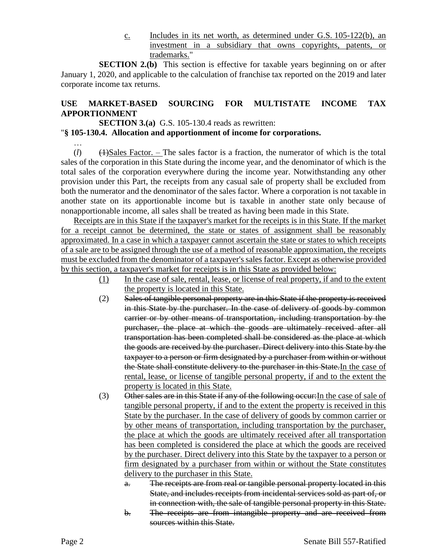c. Includes in its net worth, as determined under G.S. 105-122(b), an investment in a subsidiary that owns copyrights, patents, or trademarks."

**SECTION 2.(b)** This section is effective for taxable years beginning on or after January 1, 2020, and applicable to the calculation of franchise tax reported on the 2019 and later corporate income tax returns.

# **USE MARKET-BASED SOURCING FOR MULTISTATE INCOME TAX APPORTIONMENT**

**SECTION 3.(a)** G.S. 105-130.4 reads as rewritten:

# "**§ 105-130.4. Allocation and apportionment of income for corporations.**

…  $(l)$  (1)  $\left(1\right)$ Sales Factor. – The sales factor is a fraction, the numerator of which is the total sales of the corporation in this State during the income year, and the denominator of which is the total sales of the corporation everywhere during the income year. Notwithstanding any other provision under this Part, the receipts from any casual sale of property shall be excluded from both the numerator and the denominator of the sales factor. Where a corporation is not taxable in another state on its apportionable income but is taxable in another state only because of nonapportionable income, all sales shall be treated as having been made in this State.

Receipts are in this State if the taxpayer's market for the receipts is in this State. If the market for a receipt cannot be determined, the state or states of assignment shall be reasonably approximated. In a case in which a taxpayer cannot ascertain the state or states to which receipts of a sale are to be assigned through the use of a method of reasonable approximation, the receipts must be excluded from the denominator of a taxpayer's sales factor. Except as otherwise provided by this section, a taxpayer's market for receipts is in this State as provided below:

- (1) In the case of sale, rental, lease, or license of real property, if and to the extent the property is located in this State.
- (2) Sales of tangible personal property are in this State if the property is received in this State by the purchaser. In the case of delivery of goods by common carrier or by other means of transportation, including transportation by the purchaser, the place at which the goods are ultimately received after all transportation has been completed shall be considered as the place at which the goods are received by the purchaser. Direct delivery into this State by the taxpayer to a person or firm designated by a purchaser from within or without the State shall constitute delivery to the purchaser in this State. In the case of rental, lease, or license of tangible personal property, if and to the extent the property is located in this State.
- (3) Other sales are in this State if any of the following occur:In the case of sale of tangible personal property, if and to the extent the property is received in this State by the purchaser. In the case of delivery of goods by common carrier or by other means of transportation, including transportation by the purchaser, the place at which the goods are ultimately received after all transportation has been completed is considered the place at which the goods are received by the purchaser. Direct delivery into this State by the taxpayer to a person or firm designated by a purchaser from within or without the State constitutes delivery to the purchaser in this State.
	- a. The receipts are from real or tangible personal property located in this State, and includes receipts from incidental services sold as part of, or in connection with, the sale of tangible personal property in this State.
	- b. The receipts are from intangible property and are received from sources within this State.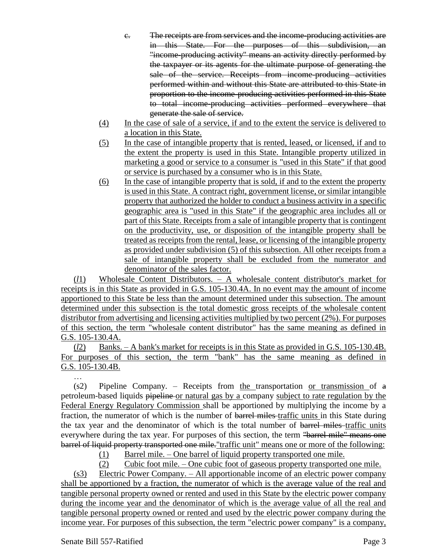- c. The receipts are from services and the income-producing activities are in this State. For the purposes of this subdivision, an "income-producing activity" means an activity directly performed by the taxpayer or its agents for the ultimate purpose of generating the sale of the service. Receipts from income-producing activities performed within and without this State are attributed to this State in proportion to the income-producing activities performed in this State to total income-producing activities performed everywhere that generate the sale of service.
- (4) In the case of sale of a service, if and to the extent the service is delivered to a location in this State.
- (5) In the case of intangible property that is rented, leased, or licensed, if and to the extent the property is used in this State. Intangible property utilized in marketing a good or service to a consumer is "used in this State" if that good or service is purchased by a consumer who is in this State.
- (6) In the case of intangible property that is sold, if and to the extent the property is used in this State. A contract right, government license, or similar intangible property that authorized the holder to conduct a business activity in a specific geographic area is "used in this State" if the geographic area includes all or part of this State. Receipts from a sale of intangible property that is contingent on the productivity, use, or disposition of the intangible property shall be treated as receipts from the rental, lease, or licensing of the intangible property as provided under subdivision (5) of this subsection. All other receipts from a sale of intangible property shall be excluded from the numerator and denominator of the sales factor.

(*l*1) Wholesale Content Distributors. – A wholesale content distributor's market for receipts is in this State as provided in G.S. 105-130.4A. In no event may the amount of income apportioned to this State be less than the amount determined under this subsection. The amount determined under this subsection is the total domestic gross receipts of the wholesale content distributor from advertising and licensing activities multiplied by two percent (2%). For purposes of this section, the term "wholesale content distributor" has the same meaning as defined in G.S. 105-130.4A.

(*l*2) Banks. – A bank's market for receipts is in this State as provided in G.S. 105-130.4B. For purposes of this section, the term "bank" has the same meaning as defined in G.S. 105-130.4B.

(s2) Pipeline Company. – Receipts from the transportation or transmission of a petroleum-based liquids pipeline or natural gas by a company subject to rate regulation by the Federal Energy Regulatory Commission shall be apportioned by multiplying the income by a fraction, the numerator of which is the number of barrel miles traffic units in this State during the tax year and the denominator of which is the total number of barrel miles traffic units everywhere during the tax year. For purposes of this section, the term "barrel mile" means one barrel of liquid property transported one mile. "traffic unit" means one or more of the following:

(1) Barrel mile. – One barrel of liquid property transported one mile.

(2) Cubic foot mile. – One cubic foot of gaseous property transported one mile.

(s3) Electric Power Company. – All apportionable income of an electric power company shall be apportioned by a fraction, the numerator of which is the average value of the real and tangible personal property owned or rented and used in this State by the electric power company during the income year and the denominator of which is the average value of all the real and tangible personal property owned or rented and used by the electric power company during the income year. For purposes of this subsection, the term "electric power company" is a company,

…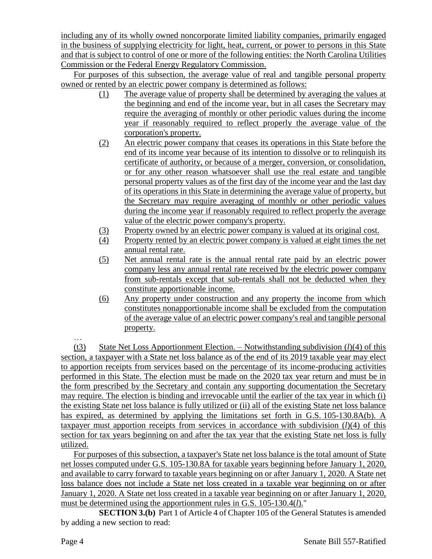including any of its wholly owned noncorporate limited liability companies, primarily engaged in the business of supplying electricity for light, heat, current, or power to persons in this State and that is subject to control of one or more of the following entities: the North Carolina Utilities Commission or the Federal Energy Regulatory Commission.

For purposes of this subsection, the average value of real and tangible personal property owned or rented by an electric power company is determined as follows:

- (1) The average value of property shall be determined by averaging the values at the beginning and end of the income year, but in all cases the Secretary may require the averaging of monthly or other periodic values during the income year if reasonably required to reflect properly the average value of the corporation's property.
- (2) An electric power company that ceases its operations in this State before the end of its income year because of its intention to dissolve or to relinquish its certificate of authority, or because of a merger, conversion, or consolidation, or for any other reason whatsoever shall use the real estate and tangible personal property values as of the first day of the income year and the last day of its operations in this State in determining the average value of property, but the Secretary may require averaging of monthly or other periodic values during the income year if reasonably required to reflect properly the average value of the electric power company's property.
- (3) Property owned by an electric power company is valued at its original cost.
- (4) Property rented by an electric power company is valued at eight times the net annual rental rate.
- (5) Net annual rental rate is the annual rental rate paid by an electric power company less any annual rental rate received by the electric power company from sub-rentals except that sub-rentals shall not be deducted when they constitute apportionable income.
- (6) Any property under construction and any property the income from which constitutes nonapportionable income shall be excluded from the computation of the average value of an electric power company's real and tangible personal property.

… (t3) State Net Loss Apportionment Election. – Notwithstanding subdivision (*l*)(4) of this section, a taxpayer with a State net loss balance as of the end of its 2019 taxable year may elect to apportion receipts from services based on the percentage of its income-producing activities performed in this State. The election must be made on the 2020 tax year return and must be in the form prescribed by the Secretary and contain any supporting documentation the Secretary may require. The election is binding and irrevocable until the earlier of the tax year in which (i) the existing State net loss balance is fully utilized or (ii) all of the existing State net loss balance has expired, as determined by applying the limitations set forth in G.S. 105-130.8A(b). A taxpayer must apportion receipts from services in accordance with subdivision (*l*)(4) of this section for tax years beginning on and after the tax year that the existing State net loss is fully utilized.

For purposes of this subsection, a taxpayer's State net loss balance is the total amount of State net losses computed under G.S. 105-130.8A for taxable years beginning before January 1, 2020, and available to carry forward to taxable years beginning on or after January 1, 2020. A State net loss balance does not include a State net loss created in a taxable year beginning on or after January 1, 2020. A State net loss created in a taxable year beginning on or after January 1, 2020, must be determined using the apportionment rules in G.S. 105-130.4(*l*)."

**SECTION 3.(b)** Part 1 of Article 4 of Chapter 105 of the General Statutes is amended by adding a new section to read: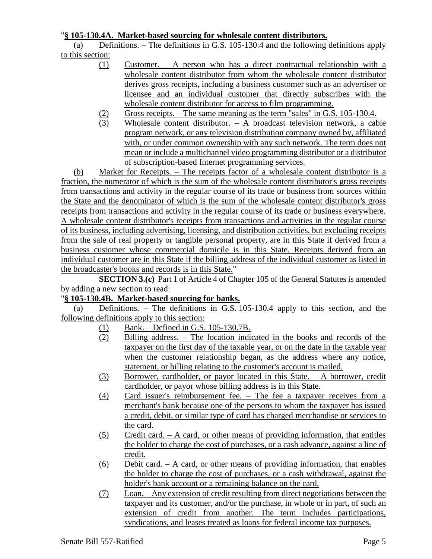### "**§ 105-130.4A. Market-based sourcing for wholesale content distributors.**

(a) Definitions. – The definitions in G.S. 105-130.4 and the following definitions apply to this section:

- (1) Customer. A person who has a direct contractual relationship with a wholesale content distributor from whom the wholesale content distributor derives gross receipts, including a business customer such as an advertiser or licensee and an individual customer that directly subscribes with the wholesale content distributor for access to film programming.
- (2) Gross receipts. The same meaning as the term "sales" in G.S. 105-130.4.
- (3) Wholesale content distributor. A broadcast television network, a cable program network, or any television distribution company owned by, affiliated with, or under common ownership with any such network. The term does not mean or include a multichannel video programming distributor or a distributor of subscription-based Internet programming services.

(b) Market for Receipts. – The receipts factor of a wholesale content distributor is a fraction, the numerator of which is the sum of the wholesale content distributor's gross receipts from transactions and activity in the regular course of its trade or business from sources within the State and the denominator of which is the sum of the wholesale content distributor's gross receipts from transactions and activity in the regular course of its trade or business everywhere. A wholesale content distributor's receipts from transactions and activities in the regular course of its business, including advertising, licensing, and distribution activities, but excluding receipts from the sale of real property or tangible personal property, are in this State if derived from a business customer whose commercial domicile is in this State. Receipts derived from an individual customer are in this State if the billing address of the individual customer as listed in the broadcaster's books and records is in this State."

**SECTION 3.(c)** Part 1 of Article 4 of Chapter 105 of the General Statutes is amended by adding a new section to read:

## "**§ 105-130.4B. Market-based sourcing for banks.**

(a) Definitions. – The definitions in G.S. 105-130.4 apply to this section, and the following definitions apply to this section:

- (1) Bank. Defined in G.S. 105-130.7B.
- (2) Billing address. The location indicated in the books and records of the taxpayer on the first day of the taxable year, or on the date in the taxable year when the customer relationship began, as the address where any notice, statement, or billing relating to the customer's account is mailed.
- (3) Borrower, cardholder, or payor located in this State. A borrower, credit cardholder, or payor whose billing address is in this State.
- (4) Card issuer's reimbursement fee. The fee a taxpayer receives from a merchant's bank because one of the persons to whom the taxpayer has issued a credit, debit, or similar type of card has charged merchandise or services to the card.
- (5) Credit card. A card, or other means of providing information, that entitles the holder to charge the cost of purchases, or a cash advance, against a line of credit.
- $(6)$  Debit card. A card, or other means of providing information, that enables the holder to charge the cost of purchases, or a cash withdrawal, against the holder's bank account or a remaining balance on the card.
- (7) Loan. Any extension of credit resulting from direct negotiations between the taxpayer and its customer, and/or the purchase, in whole or in part, of such an extension of credit from another. The term includes participations, syndications, and leases treated as loans for federal income tax purposes.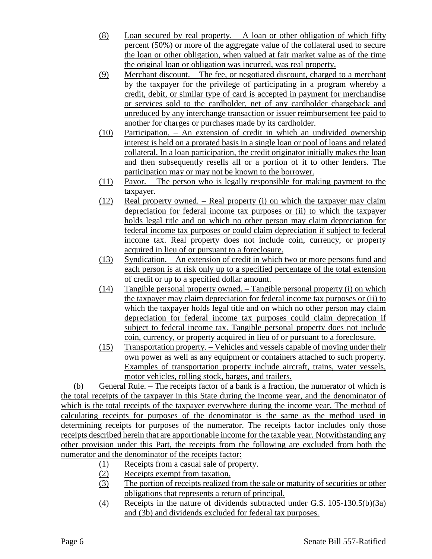- (8) Loan secured by real property. A loan or other obligation of which fifty percent (50%) or more of the aggregate value of the collateral used to secure the loan or other obligation, when valued at fair market value as of the time the original loan or obligation was incurred, was real property.
- (9) Merchant discount. The fee, or negotiated discount, charged to a merchant by the taxpayer for the privilege of participating in a program whereby a credit, debit, or similar type of card is accepted in payment for merchandise or services sold to the cardholder, net of any cardholder chargeback and unreduced by any interchange transaction or issuer reimbursement fee paid to another for charges or purchases made by its cardholder.
- (10) Participation. An extension of credit in which an undivided ownership interest is held on a prorated basis in a single loan or pool of loans and related collateral. In a loan participation, the credit originator initially makes the loan and then subsequently resells all or a portion of it to other lenders. The participation may or may not be known to the borrower.
- (11) Payor. The person who is legally responsible for making payment to the taxpayer.
- (12) Real property owned. Real property (i) on which the taxpayer may claim depreciation for federal income tax purposes or (ii) to which the taxpayer holds legal title and on which no other person may claim depreciation for federal income tax purposes or could claim depreciation if subject to federal income tax. Real property does not include coin, currency, or property acquired in lieu of or pursuant to a foreclosure.
- (13) Syndication. An extension of credit in which two or more persons fund and each person is at risk only up to a specified percentage of the total extension of credit or up to a specified dollar amount.
- (14) Tangible personal property owned. Tangible personal property (i) on which the taxpayer may claim depreciation for federal income tax purposes or (ii) to which the taxpayer holds legal title and on which no other person may claim depreciation for federal income tax purposes could claim deprecation if subject to federal income tax. Tangible personal property does not include coin, currency, or property acquired in lieu of or pursuant to a foreclosure.
- (15) Transportation property. Vehicles and vessels capable of moving under their own power as well as any equipment or containers attached to such property. Examples of transportation property include aircraft, trains, water vessels, motor vehicles, rolling stock, barges, and trailers.

(b) General Rule. – The receipts factor of a bank is a fraction, the numerator of which is the total receipts of the taxpayer in this State during the income year, and the denominator of which is the total receipts of the taxpayer everywhere during the income year. The method of calculating receipts for purposes of the denominator is the same as the method used in determining receipts for purposes of the numerator. The receipts factor includes only those receipts described herein that are apportionable income for the taxable year. Notwithstanding any other provision under this Part, the receipts from the following are excluded from both the numerator and the denominator of the receipts factor:

- (1) Receipts from a casual sale of property.
- (2) Receipts exempt from taxation.
- (3) The portion of receipts realized from the sale or maturity of securities or other obligations that represents a return of principal.
- (4) Receipts in the nature of dividends subtracted under G.S. 105-130.5(b)(3a) and (3b) and dividends excluded for federal tax purposes.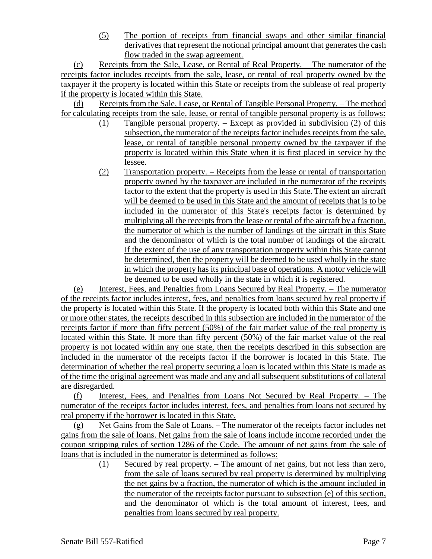(5) The portion of receipts from financial swaps and other similar financial derivatives that represent the notional principal amount that generates the cash flow traded in the swap agreement.

(c) Receipts from the Sale, Lease, or Rental of Real Property. – The numerator of the receipts factor includes receipts from the sale, lease, or rental of real property owned by the taxpayer if the property is located within this State or receipts from the sublease of real property if the property is located within this State.

(d) Receipts from the Sale, Lease, or Rental of Tangible Personal Property. – The method for calculating receipts from the sale, lease, or rental of tangible personal property is as follows:

- (1) Tangible personal property. Except as provided in subdivision (2) of this subsection, the numerator of the receipts factor includes receipts from the sale, lease, or rental of tangible personal property owned by the taxpayer if the property is located within this State when it is first placed in service by the lessee.
- (2) Transportation property. Receipts from the lease or rental of transportation property owned by the taxpayer are included in the numerator of the receipts factor to the extent that the property is used in this State. The extent an aircraft will be deemed to be used in this State and the amount of receipts that is to be included in the numerator of this State's receipts factor is determined by multiplying all the receipts from the lease or rental of the aircraft by a fraction, the numerator of which is the number of landings of the aircraft in this State and the denominator of which is the total number of landings of the aircraft. If the extent of the use of any transportation property within this State cannot be determined, then the property will be deemed to be used wholly in the state in which the property has its principal base of operations. A motor vehicle will be deemed to be used wholly in the state in which it is registered.

(e) Interest, Fees, and Penalties from Loans Secured by Real Property. – The numerator of the receipts factor includes interest, fees, and penalties from loans secured by real property if the property is located within this State. If the property is located both within this State and one or more other states, the receipts described in this subsection are included in the numerator of the receipts factor if more than fifty percent (50%) of the fair market value of the real property is located within this State. If more than fifty percent (50%) of the fair market value of the real property is not located within any one state, then the receipts described in this subsection are included in the numerator of the receipts factor if the borrower is located in this State. The determination of whether the real property securing a loan is located within this State is made as of the time the original agreement was made and any and all subsequent substitutions of collateral are disregarded.

(f) Interest, Fees, and Penalties from Loans Not Secured by Real Property. – The numerator of the receipts factor includes interest, fees, and penalties from loans not secured by real property if the borrower is located in this State.

(g) Net Gains from the Sale of Loans. – The numerator of the receipts factor includes net gains from the sale of loans. Net gains from the sale of loans include income recorded under the coupon stripping rules of section 1286 of the Code. The amount of net gains from the sale of loans that is included in the numerator is determined as follows:

(1) Secured by real property. – The amount of net gains, but not less than zero, from the sale of loans secured by real property is determined by multiplying the net gains by a fraction, the numerator of which is the amount included in the numerator of the receipts factor pursuant to subsection (e) of this section, and the denominator of which is the total amount of interest, fees, and penalties from loans secured by real property.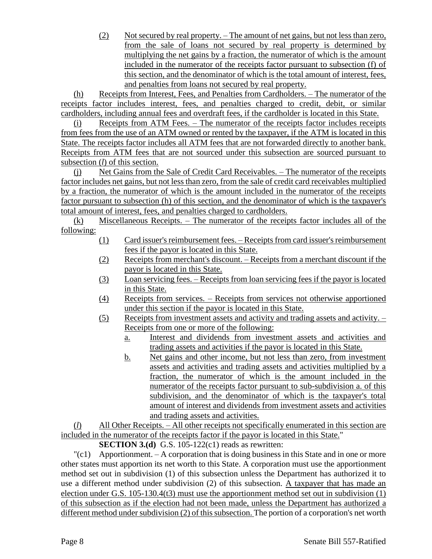(2) Not secured by real property. – The amount of net gains, but not less than zero, from the sale of loans not secured by real property is determined by multiplying the net gains by a fraction, the numerator of which is the amount included in the numerator of the receipts factor pursuant to subsection (f) of this section, and the denominator of which is the total amount of interest, fees, and penalties from loans not secured by real property.

(h) Receipts from Interest, Fees, and Penalties from Cardholders. – The numerator of the receipts factor includes interest, fees, and penalties charged to credit, debit, or similar cardholders, including annual fees and overdraft fees, if the cardholder is located in this State.

(i) Receipts from ATM Fees. – The numerator of the receipts factor includes receipts from fees from the use of an ATM owned or rented by the taxpayer, if the ATM is located in this State. The receipts factor includes all ATM fees that are not forwarded directly to another bank. Receipts from ATM fees that are not sourced under this subsection are sourced pursuant to subsection (*l*) of this section.

(j) Net Gains from the Sale of Credit Card Receivables. – The numerator of the receipts factor includes net gains, but not less than zero, from the sale of credit card receivables multiplied by a fraction, the numerator of which is the amount included in the numerator of the receipts factor pursuant to subsection (h) of this section, and the denominator of which is the taxpayer's total amount of interest, fees, and penalties charged to cardholders.

(k) Miscellaneous Receipts. – The numerator of the receipts factor includes all of the following:

- (1) Card issuer's reimbursement fees. Receipts from card issuer's reimbursement fees if the payor is located in this State.
- (2) Receipts from merchant's discount. Receipts from a merchant discount if the payor is located in this State.
- (3) Loan servicing fees. Receipts from loan servicing fees if the payor is located in this State.
- (4) Receipts from services. Receipts from services not otherwise apportioned under this section if the payor is located in this State.
- (5) Receipts from investment assets and activity and trading assets and activity. Receipts from one or more of the following:
	- a. Interest and dividends from investment assets and activities and trading assets and activities if the payor is located in this State.
	- b. Net gains and other income, but not less than zero, from investment assets and activities and trading assets and activities multiplied by a fraction, the numerator of which is the amount included in the numerator of the receipts factor pursuant to sub-subdivision a. of this subdivision, and the denominator of which is the taxpayer's total amount of interest and dividends from investment assets and activities and trading assets and activities.

(*l*) All Other Receipts. – All other receipts not specifically enumerated in this section are included in the numerator of the receipts factor if the payor is located in this State."

**SECTION 3.(d)** G.S. 105-122(c1) reads as rewritten:

 $\lceil (c_1) \rceil$  Apportionment. – A corporation that is doing business in this State and in one or more other states must apportion its net worth to this State. A corporation must use the apportionment method set out in subdivision (1) of this subsection unless the Department has authorized it to use a different method under subdivision (2) of this subsection. A taxpayer that has made an election under G.S. 105-130.4(t3) must use the apportionment method set out in subdivision (1) of this subsection as if the election had not been made, unless the Department has authorized a different method under subdivision (2) of this subsection. The portion of a corporation's net worth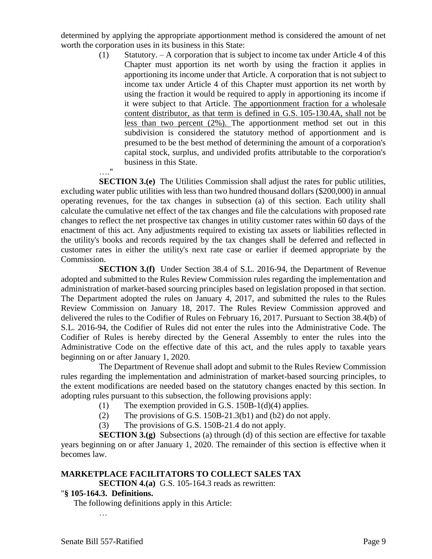determined by applying the appropriate apportionment method is considered the amount of net worth the corporation uses in its business in this State:

> (1) Statutory. – A corporation that is subject to income tax under Article 4 of this Chapter must apportion its net worth by using the fraction it applies in apportioning its income under that Article. A corporation that is not subject to income tax under Article 4 of this Chapter must apportion its net worth by using the fraction it would be required to apply in apportioning its income if it were subject to that Article. The apportionment fraction for a wholesale content distributor, as that term is defined in G.S. 105-130.4A, shall not be less than two percent (2%). The apportionment method set out in this subdivision is considered the statutory method of apportionment and is presumed to be the best method of determining the amount of a corporation's capital stock, surplus, and undivided profits attributable to the corporation's business in this State. …."

**SECTION 3.(e)** The Utilities Commission shall adjust the rates for public utilities, excluding water public utilities with less than two hundred thousand dollars (\$200,000) in annual operating revenues, for the tax changes in subsection (a) of this section. Each utility shall calculate the cumulative net effect of the tax changes and file the calculations with proposed rate changes to reflect the net prospective tax changes in utility customer rates within 60 days of the enactment of this act. Any adjustments required to existing tax assets or liabilities reflected in the utility's books and records required by the tax changes shall be deferred and reflected in customer rates in either the utility's next rate case or earlier if deemed appropriate by the Commission.

**SECTION 3.(f)** Under Section 38.4 of S.L. 2016-94, the Department of Revenue adopted and submitted to the Rules Review Commission rules regarding the implementation and administration of market-based sourcing principles based on legislation proposed in that section. The Department adopted the rules on January 4, 2017, and submitted the rules to the Rules Review Commission on January 18, 2017. The Rules Review Commission approved and delivered the rules to the Codifier of Rules on February 16, 2017. Pursuant to Section 38.4(b) of S.L. 2016-94, the Codifier of Rules did not enter the rules into the Administrative Code. The Codifier of Rules is hereby directed by the General Assembly to enter the rules into the Administrative Code on the effective date of this act, and the rules apply to taxable years beginning on or after January 1, 2020.

The Department of Revenue shall adopt and submit to the Rules Review Commission rules regarding the implementation and administration of market-based sourcing principles, to the extent modifications are needed based on the statutory changes enacted by this section. In adopting rules pursuant to this subsection, the following provisions apply:

- (1) The exemption provided in G.S. 150B-1(d)(4) applies.
- (2) The provisions of G.S. 150B-21.3(b1) and (b2) do not apply.
- (3) The provisions of G.S. 150B-21.4 do not apply.

**SECTION 3.(g)** Subsections (a) through (d) of this section are effective for taxable years beginning on or after January 1, 2020. The remainder of this section is effective when it becomes law.

## **MARKETPLACE FACILITATORS TO COLLECT SALES TAX**

**SECTION 4.(a)** G.S. 105-164.3 reads as rewritten:

## "**§ 105-164.3. Definitions.**

The following definitions apply in this Article:

…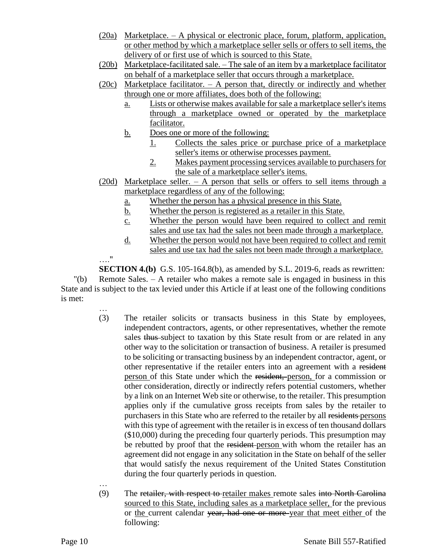- (20a) Marketplace. A physical or electronic place, forum, platform, application, or other method by which a marketplace seller sells or offers to sell items, the delivery of or first use of which is sourced to this State.
- (20b) Marketplace-facilitated sale. The sale of an item by a marketplace facilitator on behalf of a marketplace seller that occurs through a marketplace.
- (20c) Marketplace facilitator. A person that, directly or indirectly and whether through one or more affiliates, does both of the following:
	- a. Lists or otherwise makes available for sale a marketplace seller's items through a marketplace owned or operated by the marketplace facilitator.
	- b. Does one or more of the following:
		- 1. Collects the sales price or purchase price of a marketplace seller's items or otherwise processes payment.
		- 2. Makes payment processing services available to purchasers for the sale of a marketplace seller's items.
- (20d) Marketplace seller. A person that sells or offers to sell items through a marketplace regardless of any of the following:
	- a. Whether the person has a physical presence in this State.
	- b. Whether the person is registered as a retailer in this State.
	- c. Whether the person would have been required to collect and remit sales and use tax had the sales not been made through a marketplace.
	- d. Whether the person would not have been required to collect and remit sales and use tax had the sales not been made through a marketplace.

**SECTION 4.(b)** G.S. 105-164.8(b), as amended by S.L. 2019-6, reads as rewritten: "(b) Remote Sales. – A retailer who makes a remote sale is engaged in business in this State and is subject to the tax levied under this Article if at least one of the following conditions is met:

- … (3) The retailer solicits or transacts business in this State by employees, independent contractors, agents, or other representatives, whether the remote sales thus subject to taxation by this State result from or are related in any other way to the solicitation or transaction of business. A retailer is presumed to be soliciting or transacting business by an independent contractor, agent, or other representative if the retailer enters into an agreement with a resident person of this State under which the resident, person, for a commission or other consideration, directly or indirectly refers potential customers, whether by a link on an Internet Web site or otherwise, to the retailer. This presumption applies only if the cumulative gross receipts from sales by the retailer to purchasers in this State who are referred to the retailer by all residents persons with this type of agreement with the retailer is in excess of ten thousand dollars (\$10,000) during the preceding four quarterly periods. This presumption may be rebutted by proof that the resident-person with whom the retailer has an agreement did not engage in any solicitation in the State on behalf of the seller that would satisfy the nexus requirement of the United States Constitution during the four quarterly periods in question.
- … (9) The retailer, with respect to retailer makes remote sales into North Carolina sourced to this State, including sales as a marketplace seller, for the previous or the current calendar year, had one or more year that meet either of the following:

…."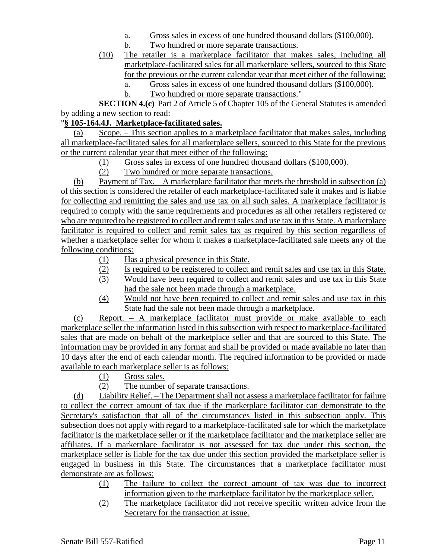- a. Gross sales in excess of one hundred thousand dollars (\$100,000).
- b. Two hundred or more separate transactions.
- (10) The retailer is a marketplace facilitator that makes sales, including all marketplace-facilitated sales for all marketplace sellers, sourced to this State for the previous or the current calendar year that meet either of the following:
	- a. Gross sales in excess of one hundred thousand dollars (\$100,000).
	- b. Two hundred or more separate transactions."

**SECTION 4.(c)** Part 2 of Article 5 of Chapter 105 of the General Statutes is amended by adding a new section to read:

### "**§ 105-164.4J. Marketplace-facilitated sales.**

(a) Scope. – This section applies to a marketplace facilitator that makes sales, including all marketplace-facilitated sales for all marketplace sellers, sourced to this State for the previous or the current calendar year that meet either of the following:

- (1) Gross sales in excess of one hundred thousand dollars (\$100,000).
- (2) Two hundred or more separate transactions.

(b) Payment of Tax. – A marketplace facilitator that meets the threshold in subsection (a) of this section is considered the retailer of each marketplace-facilitated sale it makes and is liable for collecting and remitting the sales and use tax on all such sales. A marketplace facilitator is required to comply with the same requirements and procedures as all other retailers registered or who are required to be registered to collect and remit sales and use tax in this State. A marketplace facilitator is required to collect and remit sales tax as required by this section regardless of whether a marketplace seller for whom it makes a marketplace-facilitated sale meets any of the following conditions:

- (1) Has a physical presence in this State.
- (2) Is required to be registered to collect and remit sales and use tax in this State.
- (3) Would have been required to collect and remit sales and use tax in this State had the sale not been made through a marketplace.
- (4) Would not have been required to collect and remit sales and use tax in this State had the sale not been made through a marketplace.

(c) Report. – A marketplace facilitator must provide or make available to each marketplace seller the information listed in this subsection with respect to marketplace-facilitated sales that are made on behalf of the marketplace seller and that are sourced to this State. The information may be provided in any format and shall be provided or made available no later than 10 days after the end of each calendar month. The required information to be provided or made available to each marketplace seller is as follows:

(1) Gross sales.

(2) The number of separate transactions.

(d) Liability Relief. – The Department shall not assess a marketplace facilitator for failure to collect the correct amount of tax due if the marketplace facilitator can demonstrate to the Secretary's satisfaction that all of the circumstances listed in this subsection apply. This subsection does not apply with regard to a marketplace-facilitated sale for which the marketplace facilitator is the marketplace seller or if the marketplace facilitator and the marketplace seller are affiliates. If a marketplace facilitator is not assessed for tax due under this section, the marketplace seller is liable for the tax due under this section provided the marketplace seller is engaged in business in this State. The circumstances that a marketplace facilitator must demonstrate are as follows:

- (1) The failure to collect the correct amount of tax was due to incorrect information given to the marketplace facilitator by the marketplace seller.
- (2) The marketplace facilitator did not receive specific written advice from the Secretary for the transaction at issue.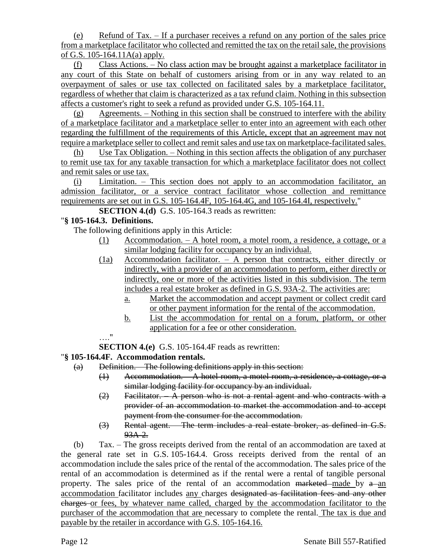(e) Refund of Tax. – If a purchaser receives a refund on any portion of the sales price from a marketplace facilitator who collected and remitted the tax on the retail sale, the provisions of G.S. 105-164.11A(a) apply.

(f) Class Actions. – No class action may be brought against a marketplace facilitator in any court of this State on behalf of customers arising from or in any way related to an overpayment of sales or use tax collected on facilitated sales by a marketplace facilitator, regardless of whether that claim is characterized as a tax refund claim. Nothing in this subsection affects a customer's right to seek a refund as provided under G.S. 105-164.11.

(g) Agreements. – Nothing in this section shall be construed to interfere with the ability of a marketplace facilitator and a marketplace seller to enter into an agreement with each other regarding the fulfillment of the requirements of this Article, except that an agreement may not require a marketplace seller to collect and remit sales and use tax on marketplace-facilitated sales.

(h) Use Tax Obligation. – Nothing in this section affects the obligation of any purchaser to remit use tax for any taxable transaction for which a marketplace facilitator does not collect and remit sales or use tax.

(i) Limitation. – This section does not apply to an accommodation facilitator, an admission facilitator, or a service contract facilitator whose collection and remittance requirements are set out in G.S. 105-164.4F, 105-164.4G, and 105-164.4I, respectively."

**SECTION 4.(d)** G.S. 105-164.3 reads as rewritten:

## "**§ 105-164.3. Definitions.**

The following definitions apply in this Article:

- (1) Accommodation. A hotel room, a motel room, a residence, a cottage, or a similar lodging facility for occupancy by an individual.
- (1a) Accommodation facilitator. A person that contracts, either directly or indirectly, with a provider of an accommodation to perform, either directly or indirectly, one or more of the activities listed in this subdivision. The term includes a real estate broker as defined in G.S. 93A-2. The activities are:
	- a. Market the accommodation and accept payment or collect credit card or other payment information for the rental of the accommodation.
	- b. List the accommodation for rental on a forum, platform, or other application for a fee or other consideration.

…."

**SECTION 4.(e)** G.S. 105-164.4F reads as rewritten:

## "**§ 105-164.4F. Accommodation rentals.**

- (a) Definition. The following definitions apply in this section:
	- (1) Accommodation. A hotel room, a motel room, a residence, a cottage, or a similar lodging facility for occupancy by an individual.
	- (2) Facilitator. A person who is not a rental agent and who contracts with a provider of an accommodation to market the accommodation and to accept payment from the consumer for the accommodation.
	- (3) Rental agent. The term includes a real estate broker, as defined in G.S. 93A-2.

(b) Tax. – The gross receipts derived from the rental of an accommodation are taxed at the general rate set in G.S. 105-164.4. Gross receipts derived from the rental of an accommodation include the sales price of the rental of the accommodation. The sales price of the rental of an accommodation is determined as if the rental were a rental of tangible personal property. The sales price of the rental of an accommodation marketed made by  $a$  an accommodation facilitator includes any charges designated as facilitation fees and any other charges or fees, by whatever name called, charged by the accommodation facilitator to the purchaser of the accommodation that are necessary to complete the rental. The tax is due and payable by the retailer in accordance with G.S. 105-164.16.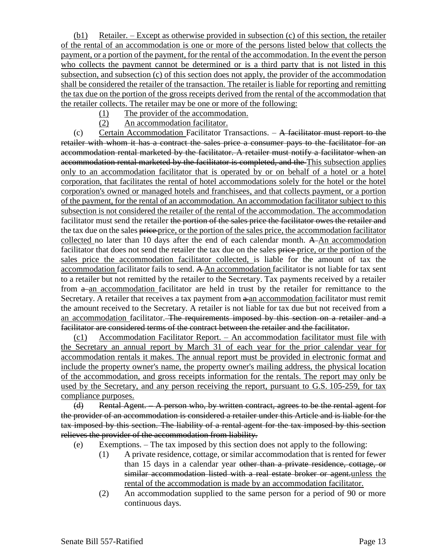(b1) Retailer. – Except as otherwise provided in subsection (c) of this section, the retailer of the rental of an accommodation is one or more of the persons listed below that collects the payment, or a portion of the payment, for the rental of the accommodation. In the event the person who collects the payment cannot be determined or is a third party that is not listed in this subsection, and subsection (c) of this section does not apply, the provider of the accommodation shall be considered the retailer of the transaction. The retailer is liable for reporting and remitting the tax due on the portion of the gross receipts derived from the rental of the accommodation that the retailer collects. The retailer may be one or more of the following:

- (1) The provider of the accommodation.
- (2) An accommodation facilitator.

(c) Certain Accommodation Facilitator Transactions. – A facilitator must report to the retailer with whom it has a contract the sales price a consumer pays to the facilitator for an accommodation rental marketed by the facilitator. A retailer must notify a facilitator when an accommodation rental marketed by the facilitator is completed, and the This subsection applies only to an accommodation facilitator that is operated by or on behalf of a hotel or a hotel corporation, that facilitates the rental of hotel accommodations solely for the hotel or the hotel corporation's owned or managed hotels and franchisees, and that collects payment, or a portion of the payment, for the rental of an accommodation. An accommodation facilitator subject to this subsection is not considered the retailer of the rental of the accommodation. The accommodation facilitator must send the retailer the portion of the sales price the facilitator owes the retailer and the tax due on the sales price price, or the portion of the sales price, the accommodation facilitator collected no later than 10 days after the end of each calendar month. A An accommodation facilitator that does not send the retailer the tax due on the sales price price, or the portion of the sales price the accommodation facilitator collected, is liable for the amount of tax the accommodation facilitator fails to send. A An accommodation facilitator is not liable for tax sent to a retailer but not remitted by the retailer to the Secretary. Tax payments received by a retailer from  $a$ -an accommodation facilitator are held in trust by the retailer for remittance to the Secretary. A retailer that receives a tax payment from  $a$ -an accommodation facilitator must remit the amount received to the Secretary. A retailer is not liable for tax due but not received from a an accommodation facilitator. The requirements imposed by this section on a retailer and a facilitator are considered terms of the contract between the retailer and the facilitator.

(c1) Accommodation Facilitator Report. – An accommodation facilitator must file with the Secretary an annual report by March 31 of each year for the prior calendar year for accommodation rentals it makes. The annual report must be provided in electronic format and include the property owner's name, the property owner's mailing address, the physical location of the accommodation, and gross receipts information for the rentals. The report may only be used by the Secretary, and any person receiving the report, pursuant to G.S. 105-259, for tax compliance purposes.

(d) Rental Agent. – A person who, by written contract, agrees to be the rental agent for the provider of an accommodation is considered a retailer under this Article and is liable for the tax imposed by this section. The liability of a rental agent for the tax imposed by this section relieves the provider of the accommodation from liability.

- (e) Exemptions. The tax imposed by this section does not apply to the following:
	- (1) A private residence, cottage, or similar accommodation that is rented for fewer than 15 days in a calendar year other than a private residence, cottage, or similar accommodation listed with a real estate broker or agent.unless the rental of the accommodation is made by an accommodation facilitator.
	- (2) An accommodation supplied to the same person for a period of 90 or more continuous days.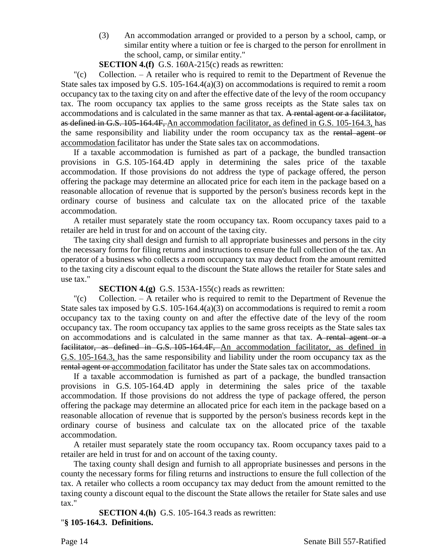(3) An accommodation arranged or provided to a person by a school, camp, or similar entity where a tuition or fee is charged to the person for enrollment in the school, camp, or similar entity."

**SECTION 4.(f)** G.S. 160A-215(c) reads as rewritten:

 $\Gamma(c)$  Collection. – A retailer who is required to remit to the Department of Revenue the State sales tax imposed by G.S.  $105-164.4(a)(3)$  on accommodations is required to remit a room occupancy tax to the taxing city on and after the effective date of the levy of the room occupancy tax. The room occupancy tax applies to the same gross receipts as the State sales tax on accommodations and is calculated in the same manner as that tax. A rental agent or a facilitator, as defined in G.S. 105-164.4F, An accommodation facilitator, as defined in G.S. 105-164.3, has the same responsibility and liability under the room occupancy tax as the rental agent or accommodation facilitator has under the State sales tax on accommodations.

If a taxable accommodation is furnished as part of a package, the bundled transaction provisions in G.S. 105-164.4D apply in determining the sales price of the taxable accommodation. If those provisions do not address the type of package offered, the person offering the package may determine an allocated price for each item in the package based on a reasonable allocation of revenue that is supported by the person's business records kept in the ordinary course of business and calculate tax on the allocated price of the taxable accommodation.

A retailer must separately state the room occupancy tax. Room occupancy taxes paid to a retailer are held in trust for and on account of the taxing city.

The taxing city shall design and furnish to all appropriate businesses and persons in the city the necessary forms for filing returns and instructions to ensure the full collection of the tax. An operator of a business who collects a room occupancy tax may deduct from the amount remitted to the taxing city a discount equal to the discount the State allows the retailer for State sales and use tax."

**SECTION 4.(g)** G.S. 153A-155(c) reads as rewritten:

 $\degree$  Collection. – A retailer who is required to remit to the Department of Revenue the State sales tax imposed by G.S. 105-164.4(a)(3) on accommodations is required to remit a room occupancy tax to the taxing county on and after the effective date of the levy of the room occupancy tax. The room occupancy tax applies to the same gross receipts as the State sales tax on accommodations and is calculated in the same manner as that tax. A rental agent or a facilitator, as defined in G.S. 105-164.4F, An accommodation facilitator, as defined in G.S. 105-164.3, has the same responsibility and liability under the room occupancy tax as the rental agent or accommodation facilitator has under the State sales tax on accommodations.

If a taxable accommodation is furnished as part of a package, the bundled transaction provisions in G.S. 105-164.4D apply in determining the sales price of the taxable accommodation. If those provisions do not address the type of package offered, the person offering the package may determine an allocated price for each item in the package based on a reasonable allocation of revenue that is supported by the person's business records kept in the ordinary course of business and calculate tax on the allocated price of the taxable accommodation.

A retailer must separately state the room occupancy tax. Room occupancy taxes paid to a retailer are held in trust for and on account of the taxing county.

The taxing county shall design and furnish to all appropriate businesses and persons in the county the necessary forms for filing returns and instructions to ensure the full collection of the tax. A retailer who collects a room occupancy tax may deduct from the amount remitted to the taxing county a discount equal to the discount the State allows the retailer for State sales and use tax."

**SECTION 4.(h)** G.S. 105-164.3 reads as rewritten: "**§ 105-164.3. Definitions.**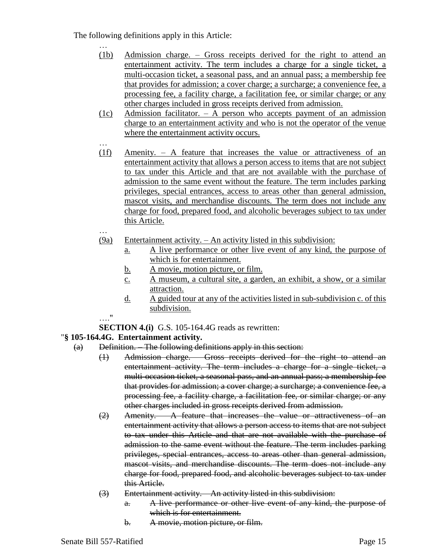The following definitions apply in this Article:

- … (1b) Admission charge. – Gross receipts derived for the right to attend an entertainment activity. The term includes a charge for a single ticket, a multi-occasion ticket, a seasonal pass, and an annual pass; a membership fee that provides for admission; a cover charge; a surcharge; a convenience fee, a processing fee, a facility charge, a facilitation fee, or similar charge; or any other charges included in gross receipts derived from admission.
- (1c) Admission facilitator. A person who accepts payment of an admission charge to an entertainment activity and who is not the operator of the venue where the entertainment activity occurs.
- … (1f) Amenity. – A feature that increases the value or attractiveness of an entertainment activity that allows a person access to items that are not subject to tax under this Article and that are not available with the purchase of admission to the same event without the feature. The term includes parking privileges, special entrances, access to areas other than general admission, mascot visits, and merchandise discounts. The term does not include any charge for food, prepared food, and alcoholic beverages subject to tax under this Article.
- (9a) Entertainment activity. An activity listed in this subdivision:
	- a. A live performance or other live event of any kind, the purpose of which is for entertainment.
	- b. A movie, motion picture, or film.
	- c. A museum, a cultural site, a garden, an exhibit, a show, or a similar attraction.
	- d. A guided tour at any of the activities listed in sub-subdivision c. of this subdivision.
- …."

…

**SECTION 4.(i)** G.S. 105-164.4G reads as rewritten:

## "**§ 105-164.4G. Entertainment activity.**

- (a) Definition. The following definitions apply in this section:
	- (1) Admission charge. Gross receipts derived for the right to attend an entertainment activity. The term includes a charge for a single ticket, a multi-occasion ticket, a seasonal pass, and an annual pass; a membership fee that provides for admission; a cover charge; a surcharge; a convenience fee, a processing fee, a facility charge, a facilitation fee, or similar charge; or any other charges included in gross receipts derived from admission.
	- $(2)$  Amenity.  $\Delta$  feature that increases the value or attractiveness of an entertainment activity that allows a person access to items that are not subject to tax under this Article and that are not available with the purchase of admission to the same event without the feature. The term includes parking privileges, special entrances, access to areas other than general admission, mascot visits, and merchandise discounts. The term does not include any charge for food, prepared food, and alcoholic beverages subject to tax under this Article.
	- (3) Entertainment activity. An activity listed in this subdivision:
		- a. A live performance or other live event of any kind, the purpose of which is for entertainment.
		- b. A movie, motion picture, or film.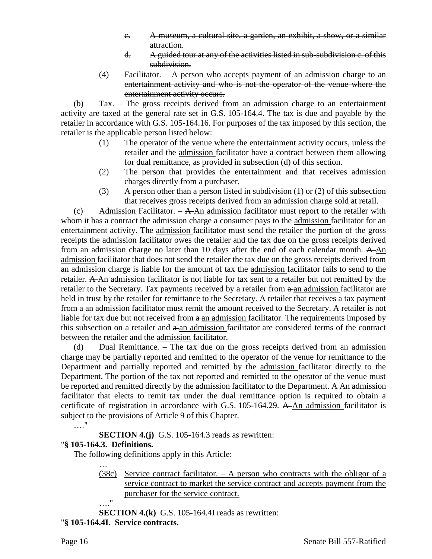- c. A museum, a cultural site, a garden, an exhibit, a show, or a similar attraction.
- d. A guided tour at any of the activities listed in sub-subdivision c. of this subdivision.
- (4) Facilitator. A person who accepts payment of an admission charge to an entertainment activity and who is not the operator of the venue where the entertainment activity occurs.

(b) Tax. – The gross receipts derived from an admission charge to an entertainment activity are taxed at the general rate set in G.S. 105-164.4. The tax is due and payable by the retailer in accordance with G.S. 105-164.16. For purposes of the tax imposed by this section, the retailer is the applicable person listed below:

- (1) The operator of the venue where the entertainment activity occurs, unless the retailer and the admission facilitator have a contract between them allowing for dual remittance, as provided in subsection (d) of this section.
- (2) The person that provides the entertainment and that receives admission charges directly from a purchaser.
- (3) A person other than a person listed in subdivision (1) or (2) of this subsection that receives gross receipts derived from an admission charge sold at retail.

(c) Admission Facilitator.  $-\bf{A}$ -An admission facilitator must report to the retailer with whom it has a contract the admission charge a consumer pays to the admission facilitator for an entertainment activity. The admission facilitator must send the retailer the portion of the gross receipts the admission facilitator owes the retailer and the tax due on the gross receipts derived from an admission charge no later than 10 days after the end of each calendar month. A-An admission facilitator that does not send the retailer the tax due on the gross receipts derived from an admission charge is liable for the amount of tax the admission facilitator fails to send to the retailer. A An admission facilitator is not liable for tax sent to a retailer but not remitted by the retailer to the Secretary. Tax payments received by a retailer from  $a$ -an admission facilitator are held in trust by the retailer for remittance to the Secretary. A retailer that receives a tax payment from  $\theta$  an admission facilitator must remit the amount received to the Secretary. A retailer is not liable for tax due but not received from  $a$ -an admission facilitator. The requirements imposed by this subsection on a retailer and  $a$ -an admission facilitator are considered terms of the contract between the retailer and the admission facilitator.

(d) Dual Remittance. – The tax due on the gross receipts derived from an admission charge may be partially reported and remitted to the operator of the venue for remittance to the Department and partially reported and remitted by the admission facilitator directly to the Department. The portion of the tax not reported and remitted to the operator of the venue must be reported and remitted directly by the admission facilitator to the Department. A An admission facilitator that elects to remit tax under the dual remittance option is required to obtain a certificate of registration in accordance with G.S. 105-164.29. A An admission facilitator is subject to the provisions of Article 9 of this Chapter.  $\mathbf{u}$ 

**SECTION 4.(j)** G.S. 105-164.3 reads as rewritten: "**§ 105-164.3. Definitions.**

The following definitions apply in this Article:

- … (38c) Service contract facilitator.  $- A$  person who contracts with the obligor of a service contract to market the service contract and accepts payment from the purchaser for the service contract.
- …." **SECTION 4.(k)** G.S. 105-164.4I reads as rewritten:

"**§ 105-164.4I. Service contracts.**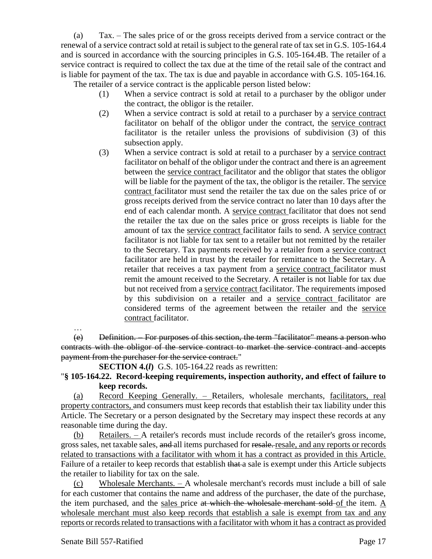(a) Tax. – The sales price of or the gross receipts derived from a service contract or the renewal of a service contract sold at retail is subject to the general rate of tax set in G.S. 105-164.4 and is sourced in accordance with the sourcing principles in G.S. 105-164.4B. The retailer of a service contract is required to collect the tax due at the time of the retail sale of the contract and is liable for payment of the tax. The tax is due and payable in accordance with G.S. 105-164.16. The retailer of a service contract is the applicable person listed below:

- (1) When a service contract is sold at retail to a purchaser by the obligor under the contract, the obligor is the retailer.
- (2) When a service contract is sold at retail to a purchaser by a service contract facilitator on behalf of the obligor under the contract, the service contract facilitator is the retailer unless the provisions of subdivision (3) of this subsection apply.
- (3) When a service contract is sold at retail to a purchaser by a service contract facilitator on behalf of the obligor under the contract and there is an agreement between the service contract facilitator and the obligor that states the obligor will be liable for the payment of the tax, the obligor is the retailer. The service contract facilitator must send the retailer the tax due on the sales price of or gross receipts derived from the service contract no later than 10 days after the end of each calendar month. A service contract facilitator that does not send the retailer the tax due on the sales price or gross receipts is liable for the amount of tax the service contract facilitator fails to send. A service contract facilitator is not liable for tax sent to a retailer but not remitted by the retailer to the Secretary. Tax payments received by a retailer from a service contract facilitator are held in trust by the retailer for remittance to the Secretary. A retailer that receives a tax payment from a service contract facilitator must remit the amount received to the Secretary. A retailer is not liable for tax due but not received from a service contract facilitator. The requirements imposed by this subdivision on a retailer and a service contract facilitator are considered terms of the agreement between the retailer and the service contract facilitator.

…

(e) Definition. – For purposes of this section, the term "facilitator" means a person who contracts with the obligor of the service contract to market the service contract and accepts payment from the purchaser for the service contract."

**SECTION 4.(***l***)** G.S. 105-164.22 reads as rewritten:

## "**§ 105-164.22. Record-keeping requirements, inspection authority, and effect of failure to keep records.**

(a) Record Keeping Generally. – Retailers, wholesale merchants, facilitators, real property contractors, and consumers must keep records that establish their tax liability under this Article. The Secretary or a person designated by the Secretary may inspect these records at any reasonable time during the day.

(b) Retailers. – A retailer's records must include records of the retailer's gross income, gross sales, net taxable sales, and all items purchased for resale. resale, and any reports or records related to transactions with a facilitator with whom it has a contract as provided in this Article. Failure of a retailer to keep records that establish that a sale is exempt under this Article subjects the retailer to liability for tax on the sale.

(c) Wholesale Merchants. – A wholesale merchant's records must include a bill of sale for each customer that contains the name and address of the purchaser, the date of the purchase, the item purchased, and the sales price at which the wholesale merchant sold of the item. A wholesale merchant must also keep records that establish a sale is exempt from tax and any reports or records related to transactions with a facilitator with whom it has a contract as provided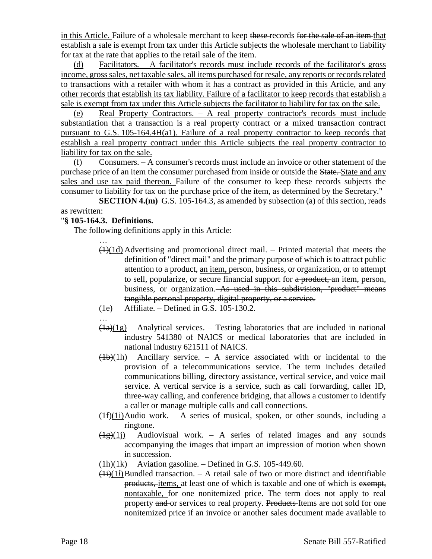in this Article. Failure of a wholesale merchant to keep these-records for the sale of an item that establish a sale is exempt from tax under this Article subjects the wholesale merchant to liability for tax at the rate that applies to the retail sale of the item.

(d) Facilitators. – A facilitator's records must include records of the facilitator's gross income, gross sales, net taxable sales, all items purchased for resale, any reports or records related to transactions with a retailer with whom it has a contract as provided in this Article, and any other records that establish its tax liability. Failure of a facilitator to keep records that establish a sale is exempt from tax under this Article subjects the facilitator to liability for tax on the sale.

(e) Real Property Contractors. – A real property contractor's records must include substantiation that a transaction is a real property contract or a mixed transaction contract pursuant to G.S. 105-164.4H(a1). Failure of a real property contractor to keep records that establish a real property contract under this Article subjects the real property contractor to liability for tax on the sale.

(f) Consumers. – A consumer's records must include an invoice or other statement of the purchase price of an item the consumer purchased from inside or outside the State. State and any sales and use tax paid thereon. Failure of the consumer to keep these records subjects the consumer to liability for tax on the purchase price of the item, as determined by the Secretary."

**SECTION 4.(m)** G.S. 105-164.3, as amended by subsection (a) of this section, reads as rewritten:

### "**§ 105-164.3. Definitions.**

…

The following definitions apply in this Article:

- $(1)(1d)$  Advertising and promotional direct mail. Printed material that meets the definition of "direct mail" and the primary purpose of which is to attract public attention to a product, an item, person, business, or organization, or to attempt to sell, popularize, or secure financial support for a product, an item, person, business, or organization. As used in this subdivision, "product" means tangible personal property, digital property, or a service.
- (1e) Affiliate. Defined in G.S. 105-130.2.
- …
- $\left(\frac{1}{a}\right)(1)$  Analytical services. Testing laboratories that are included in national industry 541380 of NAICS or medical laboratories that are included in national industry 621511 of NAICS.
- $\frac{(1b)(1h)}{h}$  Ancillary service. A service associated with or incidental to the provision of a telecommunications service. The term includes detailed communications billing, directory assistance, vertical service, and voice mail service. A vertical service is a service, such as call forwarding, caller ID, three-way calling, and conference bridging, that allows a customer to identify a caller or manage multiple calls and call connections.
- $(1f)(1i)$ Audio work. A series of musical, spoken, or other sounds, including a ringtone.
- $\frac{1}{2}(1j)$  Audiovisual work. A series of related images and any sounds accompanying the images that impart an impression of motion when shown in succession.
- $\frac{(\text{1h})(1k)}{(\text{1h})(1k)}$  Aviation gasoline. Defined in G.S. 105-449.60.
- $(H<sub>i</sub>)(1l)$ Bundled transaction. A retail sale of two or more distinct and identifiable products, items, at least one of which is taxable and one of which is exempt, nontaxable, for one nonitemized price. The term does not apply to real property and or services to real property. Products Items are not sold for one nonitemized price if an invoice or another sales document made available to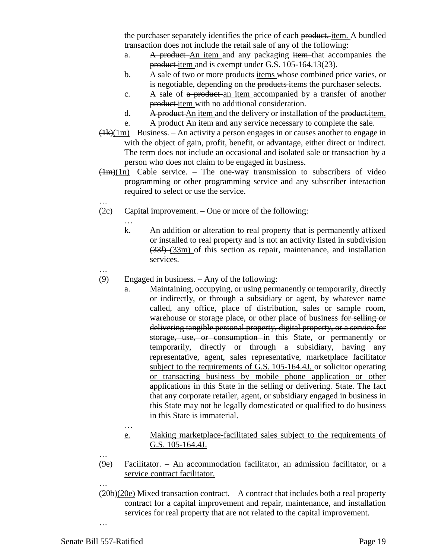the purchaser separately identifies the price of each product. item. A bundled transaction does not include the retail sale of any of the following:

- a. A product An item and any packaging item that accompanies the product-item and is exempt under G.S. 105-164.13(23).
- b. A sale of two or more products items whose combined price varies, or is negotiable, depending on the products-items the purchaser selects.
- c. A sale of a product an item accompanied by a transfer of another product item with no additional consideration.
- d. A product An item and the delivery or installation of the product-item.
- e. A product An item and any service necessary to complete the sale.
- $(1k)(1m)$  Business. An activity a person engages in or causes another to engage in with the object of gain, profit, benefit, or advantage, either direct or indirect. The term does not include an occasional and isolated sale or transaction by a person who does not claim to be engaged in business.
- $(Hm)(1n)$  Cable service. The one-way transmission to subscribers of video programming or other programming service and any subscriber interaction required to select or use the service.
- (2c) Capital improvement. One or more of the following:

…

…

- k. An addition or alteration to real property that is permanently affixed or installed to real property and is not an activity listed in subdivision (33*l*) (33m) of this section as repair, maintenance, and installation services.
- …

…

- (9) Engaged in business. Any of the following:
	- a. Maintaining, occupying, or using permanently or temporarily, directly or indirectly, or through a subsidiary or agent, by whatever name called, any office, place of distribution, sales or sample room, warehouse or storage place, or other place of business for selling or delivering tangible personal property, digital property, or a service for storage, use, or consumption in this State, or permanently or temporarily, directly or through a subsidiary, having any representative, agent, sales representative, marketplace facilitator subject to the requirements of G.S. 105-164.4J, or solicitor operating or transacting business by mobile phone application or other applications in this State in the selling or delivering. State. The fact that any corporate retailer, agent, or subsidiary engaged in business in this State may not be legally domesticated or qualified to do business in this State is immaterial.
	- e. Making marketplace-facilitated sales subject to the requirements of G.S. 105-164.4J.
- (9e) Facilitator. An accommodation facilitator, an admission facilitator, or a service contract facilitator.
- …  $(20b)(20e)$  Mixed transaction contract.  $-$  A contract that includes both a real property contract for a capital improvement and repair, maintenance, and installation services for real property that are not related to the capital improvement.

…

…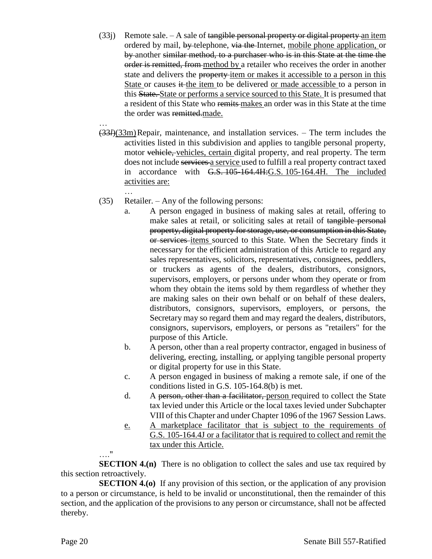- $(33j)$  Remote sale. A sale of tangible personal property or digital property an item ordered by mail, by telephone, via the Internet, mobile phone application, or by another similar method, to a purchaser who is in this State at the time the order is remitted, from method by a retailer who receives the order in another state and delivers the property-item or makes it accessible to a person in this State or causes it the item to be delivered or made accessible to a person in this State. State or performs a service sourced to this State. It is presumed that a resident of this State who remits makes an order was in this State at the time the order was remitted made.
- … (33*l*)(33m)Repair, maintenance, and installation services. – The term includes the activities listed in this subdivision and applies to tangible personal property, motor vehicle, vehicles, certain digital property, and real property. The term does not include services a service used to fulfill a real property contract taxed in accordance with G.S. 105-164.4H:G.S. 105-164.4H. The included activities are:
- … (35) Retailer. – Any of the following persons:
	- a. A person engaged in business of making sales at retail, offering to make sales at retail, or soliciting sales at retail of tangible personal property, digital property for storage, use, or consumption in this State, or services items sourced to this State. When the Secretary finds it necessary for the efficient administration of this Article to regard any sales representatives, solicitors, representatives, consignees, peddlers, or truckers as agents of the dealers, distributors, consignors, supervisors, employers, or persons under whom they operate or from whom they obtain the items sold by them regardless of whether they are making sales on their own behalf or on behalf of these dealers, distributors, consignors, supervisors, employers, or persons, the Secretary may so regard them and may regard the dealers, distributors, consignors, supervisors, employers, or persons as "retailers" for the purpose of this Article.
	- b. A person, other than a real property contractor, engaged in business of delivering, erecting, installing, or applying tangible personal property or digital property for use in this State.
	- c. A person engaged in business of making a remote sale, if one of the conditions listed in G.S. 105-164.8(b) is met.
	- d. A person, other than a facilitator, person required to collect the State tax levied under this Article or the local taxes levied under Subchapter VIII of this Chapter and under Chapter 1096 of the 1967 Session Laws.
	- e. A marketplace facilitator that is subject to the requirements of G.S. 105-164.4J or a facilitator that is required to collect and remit the tax under this Article.

…."

**SECTION 4.(n)** There is no obligation to collect the sales and use tax required by this section retroactively.

**SECTION 4.(0)** If any provision of this section, or the application of any provision to a person or circumstance, is held to be invalid or unconstitutional, then the remainder of this section, and the application of the provisions to any person or circumstance, shall not be affected thereby.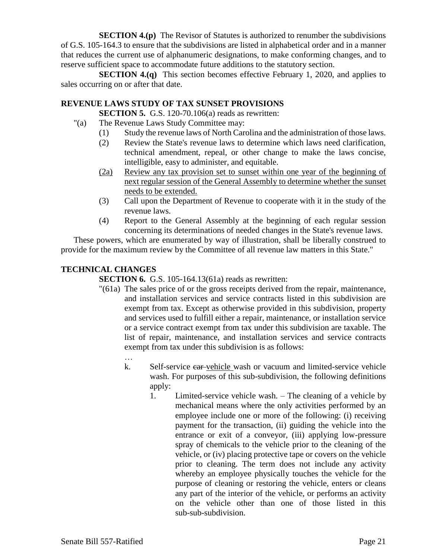**SECTION 4.(p)** The Revisor of Statutes is authorized to renumber the subdivisions of G.S. 105-164.3 to ensure that the subdivisions are listed in alphabetical order and in a manner that reduces the current use of alphanumeric designations, to make conforming changes, and to reserve sufficient space to accommodate future additions to the statutory section.

**SECTION 4.(q)** This section becomes effective February 1, 2020, and applies to sales occurring on or after that date.

### **REVENUE LAWS STUDY OF TAX SUNSET PROVISIONS**

**SECTION 5.** G.S. 120-70.106(a) reads as rewritten:

- "(a) The Revenue Laws Study Committee may:
	- (1) Study the revenue laws of North Carolina and the administration of those laws.
	- (2) Review the State's revenue laws to determine which laws need clarification, technical amendment, repeal, or other change to make the laws concise, intelligible, easy to administer, and equitable.
	- (2a) Review any tax provision set to sunset within one year of the beginning of next regular session of the General Assembly to determine whether the sunset needs to be extended.
	- (3) Call upon the Department of Revenue to cooperate with it in the study of the revenue laws.
	- (4) Report to the General Assembly at the beginning of each regular session concerning its determinations of needed changes in the State's revenue laws.

These powers, which are enumerated by way of illustration, shall be liberally construed to provide for the maximum review by the Committee of all revenue law matters in this State."

## **TECHNICAL CHANGES**

**SECTION 6.** G.S. 105-164.13(61a) reads as rewritten:

- "(61a) The sales price of or the gross receipts derived from the repair, maintenance, and installation services and service contracts listed in this subdivision are exempt from tax. Except as otherwise provided in this subdivision, property and services used to fulfill either a repair, maintenance, or installation service or a service contract exempt from tax under this subdivision are taxable. The list of repair, maintenance, and installation services and service contracts exempt from tax under this subdivision is as follows:
	- …
	- k. Self-service ear-vehicle wash or vacuum and limited-service vehicle wash. For purposes of this sub-subdivision, the following definitions apply:
		- 1. Limited-service vehicle wash. The cleaning of a vehicle by mechanical means where the only activities performed by an employee include one or more of the following: (i) receiving payment for the transaction, (ii) guiding the vehicle into the entrance or exit of a conveyor, (iii) applying low-pressure spray of chemicals to the vehicle prior to the cleaning of the vehicle, or (iv) placing protective tape or covers on the vehicle prior to cleaning. The term does not include any activity whereby an employee physically touches the vehicle for the purpose of cleaning or restoring the vehicle, enters or cleans any part of the interior of the vehicle, or performs an activity on the vehicle other than one of those listed in this sub-sub-subdivision.